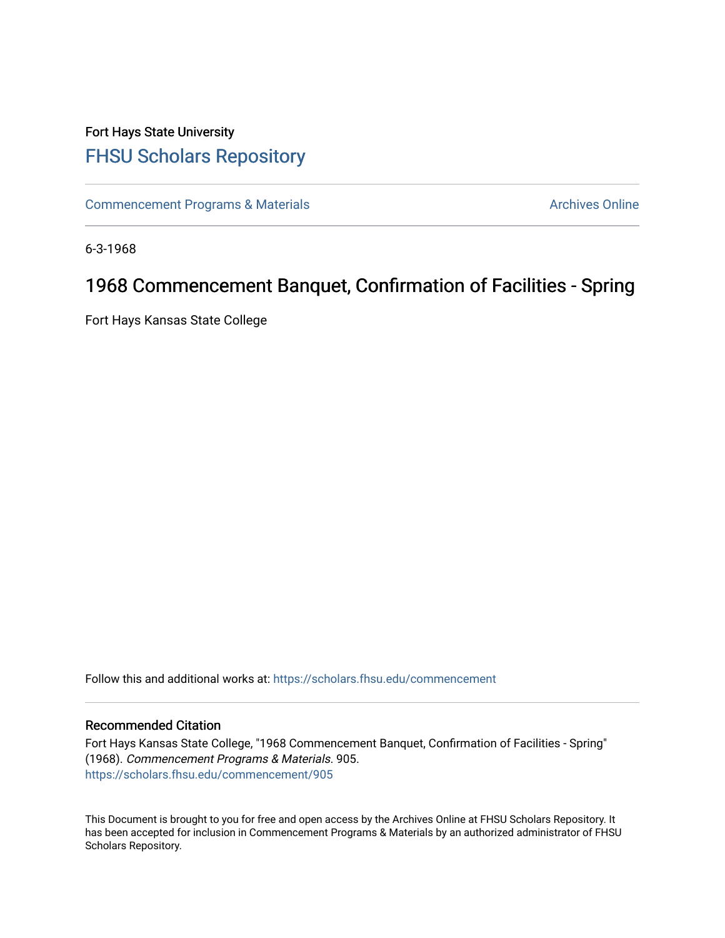## Fort Hays State University [FHSU Scholars Repository](https://scholars.fhsu.edu/)

[Commencement Programs & Materials](https://scholars.fhsu.edu/commencement) **Archives Online** Archives Online

6-3-1968

# 1968 Commencement Banquet, Confirmation of Facilities - Spring

Fort Hays Kansas State College

Follow this and additional works at: [https://scholars.fhsu.edu/commencement](https://scholars.fhsu.edu/commencement?utm_source=scholars.fhsu.edu%2Fcommencement%2F905&utm_medium=PDF&utm_campaign=PDFCoverPages)

#### Recommended Citation

Fort Hays Kansas State College, "1968 Commencement Banquet, Confirmation of Facilities - Spring" (1968). Commencement Programs & Materials. 905. [https://scholars.fhsu.edu/commencement/905](https://scholars.fhsu.edu/commencement/905?utm_source=scholars.fhsu.edu%2Fcommencement%2F905&utm_medium=PDF&utm_campaign=PDFCoverPages)

This Document is brought to you for free and open access by the Archives Online at FHSU Scholars Repository. It has been accepted for inclusion in Commencement Programs & Materials by an authorized administrator of FHSU Scholars Repository.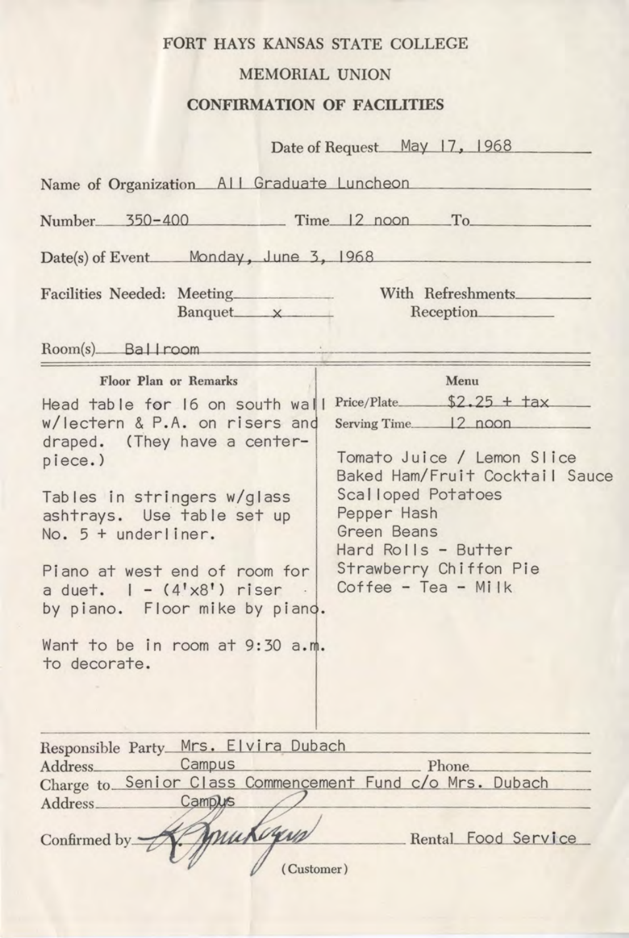### FORT HAYS KANSAS STATE COLLEGE

#### MEMORIAL UNION

#### **CONFIRMATION OF FACILITIES**

|                                                                                                                                                                                                                                                                                                                                                     | Date of Request_May 17, 1968                                                                                                                                                                                                       |  |  |  |
|-----------------------------------------------------------------------------------------------------------------------------------------------------------------------------------------------------------------------------------------------------------------------------------------------------------------------------------------------------|------------------------------------------------------------------------------------------------------------------------------------------------------------------------------------------------------------------------------------|--|--|--|
| Name of Organization All Graduate Luncheon                                                                                                                                                                                                                                                                                                          |                                                                                                                                                                                                                                    |  |  |  |
| Number 350-400 Time 12 noon To                                                                                                                                                                                                                                                                                                                      |                                                                                                                                                                                                                                    |  |  |  |
| Date(s) of Event Monday, June 3, 1968                                                                                                                                                                                                                                                                                                               |                                                                                                                                                                                                                                    |  |  |  |
| Facilities Needed: Meeting<br>Banquet x                                                                                                                                                                                                                                                                                                             | With Refreshments<br>Reception                                                                                                                                                                                                     |  |  |  |
| Room(s) Ballroom                                                                                                                                                                                                                                                                                                                                    |                                                                                                                                                                                                                                    |  |  |  |
| Floor Plan or Remarks<br>w/lectern & P.A. on risers and<br>draped. (They have a center-<br>piece.)<br>Tables in stringers w/glass<br>ashtrays. Use table set up<br>No. 5 + underliner.<br>Piano at west end of room for<br>a duet. $1 - (4' \times 8')$ riser.<br>by piano. Floor mike by piano.<br>Want to be in room at 9:30 a.m.<br>to decorate. | Menu<br>Serving Time. 12 noon<br>Tomato Juice / Lemon Slice<br>Baked Ham/Fruit Cocktail Sauce<br>Scalloped Potatoes<br>Pepper Hash<br><b>Green Beans</b><br>Hard Rolls - Butter<br>Strawberry Chiffon Pie<br>$Coffee - Tea - Mi1k$ |  |  |  |
| Responsible Party Mrs. Elvira Dubach<br>Campus<br>Charge to Senior Class Commencement Fund c/o Mrs. Dubach<br>Address Campus<br>mukigun<br>Confirmed by<br>(Customer)                                                                                                                                                                               | Phone<br>Rental Food Service                                                                                                                                                                                                       |  |  |  |